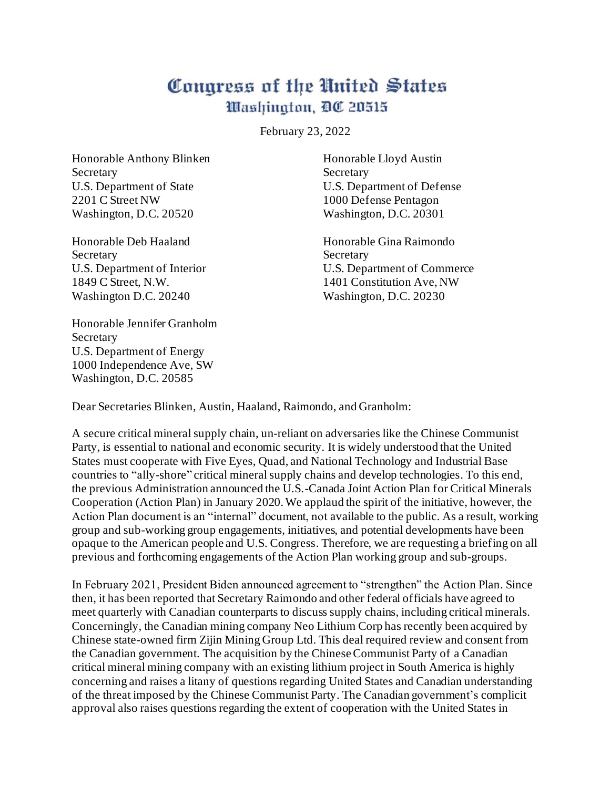## Congress of the United States Washington, DC 20515

February 23, 2022

Honorable Anthony Blinken Honorable Lloyd Austin Secretary Secretary Secretary 2201 C Street NW 1000 Defense Pentagon Washington, D.C. 20520 Washington, D.C. 20301

Secretary Secretary Secretary Secretary Secretary Secretary Secretary Secretary Secretary Secretary Secretary Secretary Secretary Secretary Secretary Secretary Secretary Secretary Secretary Secretary Secretary Secretary Se Washington D.C. 20240 Washington, D.C. 20230

Honorable Jennifer Granholm Secretary U.S. Department of Energy 1000 Independence Ave, SW Washington, D.C. 20585

U.S. Department of State U.S. Department of Defense

Honorable Deb Haaland Honorable Gina Raimondo U.S. Department of Interior U.S. Department of Commerce 1849 C Street, N.W. 1401 Constitution Ave, NW

Dear Secretaries Blinken, Austin, Haaland, Raimondo, and Granholm:

A secure critical mineral supply chain, un-reliant on adversaries like the Chinese Communist Party, is essential to national and economic security. It is widely understood that the United States must cooperate with Five Eyes, Quad, and National Technology and Industrial Base countries to "ally-shore" critical mineral supply chains and develop technologies. To this end, the previous Administration announced the U.S.-Canada Joint Action Plan for Critical Minerals Cooperation (Action Plan) in January 2020. We applaud the spirit of the initiative, however, the Action Plan document is an "internal" document, not available to the public. As a result, working group and sub-working group engagements, initiatives, and potential developments have been opaque to the American people and U.S. Congress. Therefore, we are requesting a briefing on all previous and forthcoming engagements of the Action Plan working group and sub-groups.

In February 2021, President Biden announced agreement to "strengthen" the Action Plan. Since then, it has been reported that Secretary Raimondo and other federal officials have agreed to meet quarterly with Canadian counterparts to discuss supply chains, including critical minerals. Concerningly, the Canadian mining company Neo Lithium Corp has recently been acquired by Chinese state-owned firm Zijin Mining Group Ltd. This deal required review and consent from the Canadian government. The acquisition by the Chinese Communist Party of a Canadian critical mineral mining company with an existing lithium project in South America is highly concerning and raises a litany of questions regarding United States and Canadian understanding of the threat imposed by the Chinese Communist Party. The Canadian government's complicit approval also raises questions regarding the extent of cooperation with the United States in